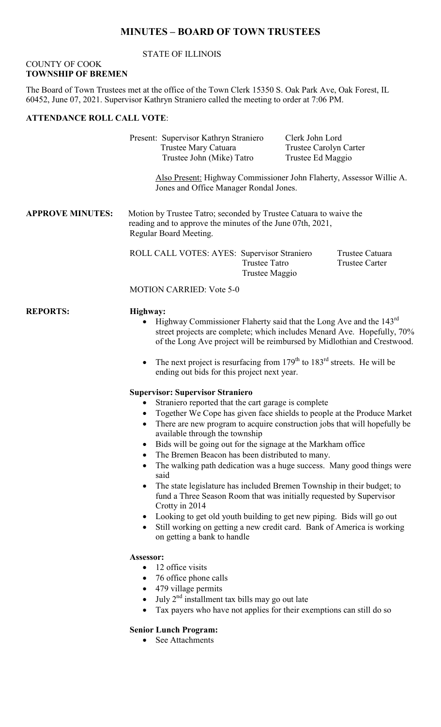### **MINUTES – BOARD OF TOWN TRUSTEES**

#### STATE OF ILLINOIS

#### COUNTY OF COOK **TOWNSHIP OF BREMEN**

The Board of Town Trustees met at the office of the Town Clerk 15350 S. Oak Park Ave, Oak Forest, IL 60452, June 07, 2021. Supervisor Kathryn Straniero called the meeting to order at 7:06 PM.

## **ATTENDANCE ROLL CALL VOTE**:

Present: Supervisor Kathryn Straniero Clerk John Lord Trustee Mary Catuara Trustee Carolyn Carter Trustee John (Mike) Tatro Trustee Ed Maggio

Also Present: Highway Commissioner John Flaherty, Assessor Willie A. Jones and Office Manager Rondal Jones.

**APPROVE MINUTES:** Motion by Trustee Tatro; seconded by Trustee Catuara to waive the reading and to approve the minutes of the June 07th, 2021, Regular Board Meeting.

> ROLL CALL VOTES: AYES: Supervisor Straniero Trustee Catuara Trustee Tatro Trustee Carter Trustee Maggio

#### MOTION CARRIED: Vote 5-0

#### **REPORTS: Highway:**

- Highway Commissioner Flaherty said that the Long Ave and the  $143<sup>rd</sup>$ street projects are complete; which includes Menard Ave. Hopefully, 70% of the Long Ave project will be reimbursed by Midlothian and Crestwood.
- The next project is resurfacing from  $179<sup>th</sup>$  to  $183<sup>rd</sup>$  streets. He will be ending out bids for this project next year.

#### **Supervisor: Supervisor Straniero**

- Straniero reported that the cart garage is complete
- Together We Cope has given face shields to people at the Produce Market
- There are new program to acquire construction jobs that will hopefully be available through the township
- Bids will be going out for the signage at the Markham office
- The Bremen Beacon has been distributed to many.
- The walking path dedication was a huge success. Many good things were said
- The state legislature has included Bremen Township in their budget; to fund a Three Season Room that was initially requested by Supervisor Crotty in 2014
- Looking to get old youth building to get new piping. Bids will go out
- Still working on getting a new credit card. Bank of America is working on getting a bank to handle

#### **Assessor:**

- 12 office visits
- 76 office phone calls
- 479 village permits
- July  $2^{nd}$  installment tax bills may go out late
- Tax payers who have not applies for their exemptions can still do so

#### **Senior Lunch Program:**

• See Attachments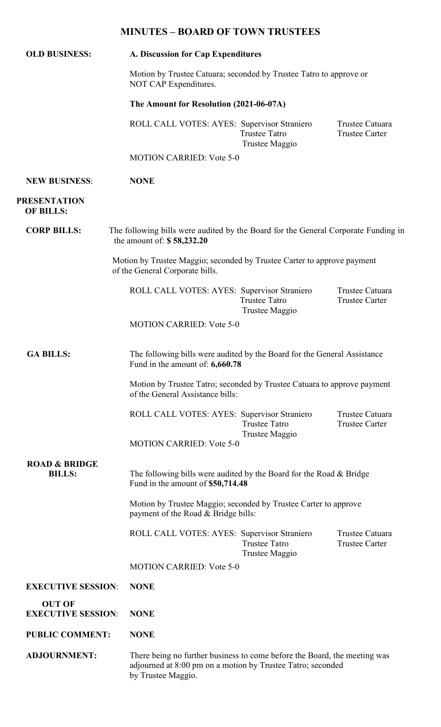# **MINUTES – BOARD OF TOWN TRUSTEES**

| <b>OLD BUSINESS:</b>                       | A. Discussion for Cap Expenditures<br>Motion by Trustee Catuara; seconded by Trustee Tatro to approve or<br>NOT CAP Expenditures.<br>The Amount for Resolution (2021-06-07A) |                                        |                                          |
|--------------------------------------------|------------------------------------------------------------------------------------------------------------------------------------------------------------------------------|----------------------------------------|------------------------------------------|
|                                            |                                                                                                                                                                              |                                        |                                          |
|                                            |                                                                                                                                                                              |                                        |                                          |
|                                            | <b>MOTION CARRIED: Vote 5-0</b>                                                                                                                                              |                                        |                                          |
| <b>NEW BUSINESS:</b>                       | <b>NONE</b>                                                                                                                                                                  |                                        |                                          |
| <b>PRESENTATION</b><br><b>OF BILLS:</b>    |                                                                                                                                                                              |                                        |                                          |
| <b>CORP BILLS:</b>                         | The following bills were audited by the Board for the General Corporate Funding in<br>the amount of: $$58,232.20$                                                            |                                        |                                          |
|                                            | Motion by Trustee Maggio; seconded by Trustee Carter to approve payment<br>of the General Corporate bills.                                                                   |                                        |                                          |
|                                            | ROLL CALL VOTES: AYES: Supervisor Straniero                                                                                                                                  | <b>Trustee Tatro</b><br>Trustee Maggio | Trustee Catuara<br><b>Trustee Carter</b> |
|                                            | <b>MOTION CARRIED: Vote 5-0</b>                                                                                                                                              |                                        |                                          |
| <b>GA BILLS:</b>                           | The following bills were audited by the Board for the General Assistance<br>Fund in the amount of: 6,660.78                                                                  |                                        |                                          |
|                                            | Motion by Trustee Tatro; seconded by Trustee Catuara to approve payment<br>of the General Assistance bills:                                                                  |                                        |                                          |
|                                            | ROLL CALL VOTES: AYES: Supervisor Straniero                                                                                                                                  | <b>Trustee Tatro</b><br>Trustee Maggio | Trustee Catuara<br><b>Trustee Carter</b> |
|                                            | <b>MOTION CARRIED: Vote 5-0</b>                                                                                                                                              |                                        |                                          |
| <b>ROAD &amp; BRIDGE</b><br><b>BILLS:</b>  | The following bills were audited by the Board for the Road & Bridge<br>Fund in the amount of \$50,714.48                                                                     |                                        |                                          |
|                                            | Motion by Trustee Maggio; seconded by Trustee Carter to approve<br>payment of the Road & Bridge bills:                                                                       |                                        |                                          |
|                                            | ROLL CALL VOTES: AYES: Supervisor Straniero                                                                                                                                  | <b>Trustee Tatro</b><br>Trustee Maggio | Trustee Catuara<br><b>Trustee Carter</b> |
|                                            | <b>MOTION CARRIED: Vote 5-0</b>                                                                                                                                              |                                        |                                          |
| <b>EXECUTIVE SESSION:</b>                  | <b>NONE</b>                                                                                                                                                                  |                                        |                                          |
| <b>OUT OF</b><br><b>EXECUTIVE SESSION:</b> | <b>NONE</b>                                                                                                                                                                  |                                        |                                          |
| <b>PUBLIC COMMENT:</b>                     | <b>NONE</b>                                                                                                                                                                  |                                        |                                          |
| <b>ADJOURNMENT:</b>                        | There being no further business to come before the Board, the meeting was<br>adjourned at 8:00 pm on a motion by Trustee Tatro; seconded<br>by Trustee Maggio.               |                                        |                                          |